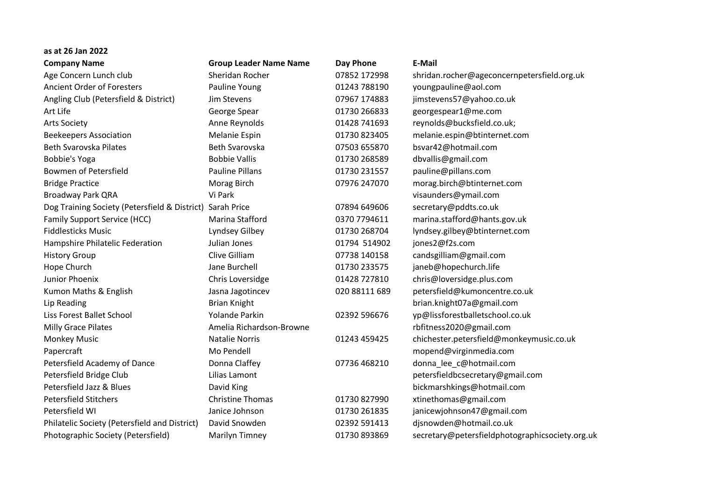| as at 26 Jan 2022                                         |                               |               |                                                 |
|-----------------------------------------------------------|-------------------------------|---------------|-------------------------------------------------|
| <b>Company Name</b>                                       | <b>Group Leader Name Name</b> | Day Phone     | <b>E-Mail</b>                                   |
| Age Concern Lunch club                                    | Sheridan Rocher               | 07852 172998  | shridan.rocher@ageconcernpetersfield.org.uk     |
| <b>Ancient Order of Foresters</b>                         | Pauline Young                 | 01243 788190  | youngpauline@aol.com                            |
| Angling Club (Petersfield & District)                     | Jim Stevens                   | 07967 174883  | jimstevens57@yahoo.co.uk                        |
| Art Life                                                  | George Spear                  | 01730 266833  | georgespear1@me.com                             |
| <b>Arts Society</b>                                       | Anne Reynolds                 | 01428 741693  | reynolds@bucksfield.co.uk;                      |
| <b>Beekeepers Association</b>                             | Melanie Espin                 | 01730 823405  | melanie.espin@btinternet.com                    |
| <b>Beth Svarovska Pilates</b>                             | Beth Svarovska                | 07503 655870  | bsvar42@hotmail.com                             |
| Bobbie's Yoga                                             | <b>Bobbie Vallis</b>          | 01730 268589  | dbvallis@gmail.com                              |
| Bowmen of Petersfield                                     | <b>Pauline Pillans</b>        | 01730 231557  | pauline@pillans.com                             |
| <b>Bridge Practice</b>                                    | Morag Birch                   | 07976 247070  | morag.birch@btinternet.com                      |
| Broadway Park QRA                                         | Vi Park                       |               | visaunders@ymail.com                            |
| Dog Training Society (Petersfield & District) Sarah Price |                               | 07894 649606  | secretary@pddts.co.uk                           |
| <b>Family Support Service (HCC)</b>                       | Marina Stafford               | 0370 7794611  | marina.stafford@hants.gov.uk                    |
| <b>Fiddlesticks Music</b>                                 | Lyndsey Gilbey                | 01730 268704  | lyndsey.gilbey@btinternet.com                   |
| Hampshire Philatelic Federation                           | Julian Jones                  | 01794 514902  | jones2@f2s.com                                  |
| <b>History Group</b>                                      | Clive Gilliam                 | 07738 140158  | candsgilliam@gmail.com                          |
| Hope Church                                               | Jane Burchell                 | 01730 233575  | janeb@hopechurch.life                           |
| Junior Phoenix                                            | Chris Loversidge              | 01428 727810  | chris@loversidge.plus.com                       |
| Kumon Maths & English                                     | Jasna Jagotincev              | 020 88111 689 | petersfield@kumoncentre.co.uk                   |
| Lip Reading                                               | <b>Brian Knight</b>           |               | brian.knight07a@gmail.com                       |
| Liss Forest Ballet School                                 | <b>Yolande Parkin</b>         | 02392 596676  | yp@lissforestballetschool.co.uk                 |
| Milly Grace Pilates                                       | Amelia Richardson-Browne      |               | rbfitness2020@gmail.com                         |
| <b>Monkey Music</b>                                       | <b>Natalie Norris</b>         | 01243 459425  | chichester.petersfield@monkeymusic.co.uk        |
| Papercraft                                                | Mo Pendell                    |               | mopend@virginmedia.com                          |
| Petersfield Academy of Dance                              | Donna Claffey                 | 07736 468210  | donna_lee_c@hotmail.com                         |
| Petersfield Bridge Club                                   | Lilias Lamont                 |               | petersfieldbcsecretary@gmail.com                |
| Petersfield Jazz & Blues                                  | David King                    |               | bickmarshkings@hotmail.com                      |
| <b>Petersfield Stitchers</b>                              | <b>Christine Thomas</b>       | 01730 827990  | xtinethomas@gmail.com                           |
| Petersfield WI                                            | Janice Johnson                | 01730 261835  | janicewjohnson47@gmail.com                      |
| Philatelic Society (Petersfield and District)             | David Snowden                 | 02392 591413  | djsnowden@hotmail.co.uk                         |
| Photographic Society (Petersfield)                        | <b>Marilyn Timney</b>         | 01730 893869  | secretary@petersfieldphotographicsociety.org.uk |